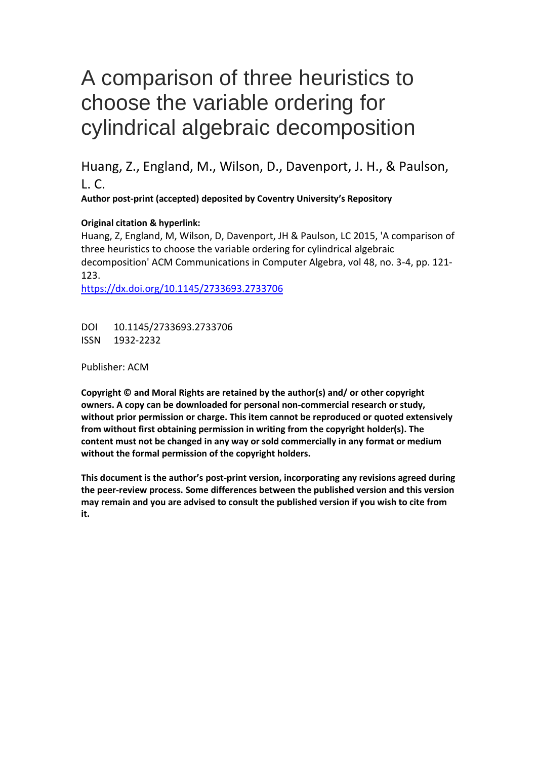# A comparison of three heuristics to choose the variable ordering for cylindrical algebraic decomposition

Huang, Z., England, M., Wilson, D., Davenport, J. H., & Paulson,  $L.C.$ 

**Author post-print (accepted) deposited by Coventry University's Repository**

#### **Original citation & hyperlink:**

Huang, Z, England, M, Wilson, D, Davenport, JH & Paulson, LC 2015, 'A comparison of three heuristics to choose the variable ordering for cylindrical algebraic decomposition' ACM Communications in Computer Algebra, vol 48, no. 3-4, pp. 121- 123.

<https://dx.doi.org/10.1145/2733693.2733706>

DOI 10.1145/2733693.2733706 ISSN 1932-2232

Publisher: ACM

**Copyright © and Moral Rights are retained by the author(s) and/ or other copyright owners. A copy can be downloaded for personal non-commercial research or study, without prior permission or charge. This item cannot be reproduced or quoted extensively from without first obtaining permission in writing from the copyright holder(s). The content must not be changed in any way or sold commercially in any format or medium without the formal permission of the copyright holders.** 

**This document is the author's post-print version, incorporating any revisions agreed during the peer-review process. Some differences between the published version and this version may remain and you are advised to consult the published version if you wish to cite from it.**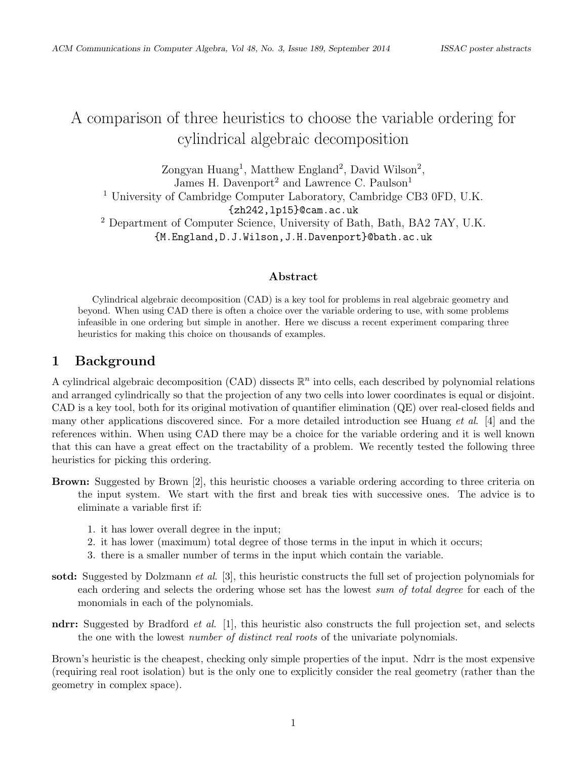## A comparison of three heuristics to choose the variable ordering for cylindrical algebraic decomposition

Zongyan Huang<sup>1</sup>, Matthew England<sup>2</sup>, David Wilson<sup>2</sup>, James H. Davenport<sup>2</sup> and Lawrence C. Paulson<sup>1</sup> <sup>1</sup> University of Cambridge Computer Laboratory, Cambridge CB3 0FD, U.K. {zh242,lp15}@cam.ac.uk <sup>2</sup> Department of Computer Science, University of Bath, Bath, BA2 7AY, U.K. {M.England,D.J.Wilson,J.H.Davenport}@bath.ac.uk

#### Abstract

Cylindrical algebraic decomposition (CAD) is a key tool for problems in real algebraic geometry and beyond. When using CAD there is often a choice over the variable ordering to use, with some problems infeasible in one ordering but simple in another. Here we discuss a recent experiment comparing three heuristics for making this choice on thousands of examples.

#### 1 Background

A cylindrical algebraic decomposition (CAD) dissects  $\mathbb{R}^n$  into cells, each described by polynomial relations and arranged cylindrically so that the projection of any two cells into lower coordinates is equal or disjoint. CAD is a key tool, both for its original motivation of quantifier elimination (QE) over real-closed fields and many other applications discovered since. For a more detailed introduction see Huang et al. [4] and the references within. When using CAD there may be a choice for the variable ordering and it is well known that this can have a great effect on the tractability of a problem. We recently tested the following three heuristics for picking this ordering.

- Brown: Suggested by Brown [2], this heuristic chooses a variable ordering according to three criteria on the input system. We start with the first and break ties with successive ones. The advice is to eliminate a variable first if:
	- 1. it has lower overall degree in the input;
	- 2. it has lower (maximum) total degree of those terms in the input in which it occurs;
	- 3. there is a smaller number of terms in the input which contain the variable.
- sotd: Suggested by Dolzmann *et al.* [3], this heuristic constructs the full set of projection polynomials for each ordering and selects the ordering whose set has the lowest sum of total degree for each of the monomials in each of the polynomials.
- ndrr: Suggested by Bradford *et al.* [1], this heuristic also constructs the full projection set, and selects the one with the lowest *number of distinct real roots* of the univariate polynomials.

Brown's heuristic is the cheapest, checking only simple properties of the input. Ndrr is the most expensive (requiring real root isolation) but is the only one to explicitly consider the real geometry (rather than the geometry in complex space).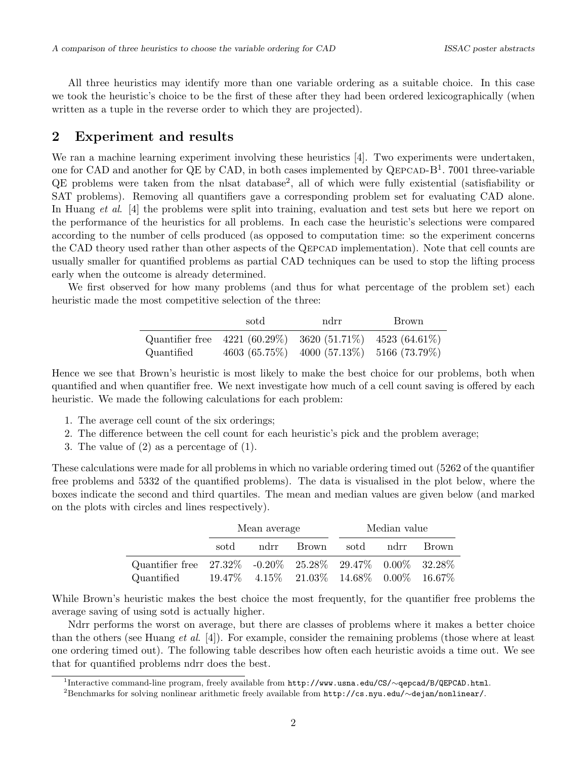All three heuristics may identify more than one variable ordering as a suitable choice. In this case we took the heuristic's choice to be the first of these after they had been ordered lexicographically (when written as a tuple in the reverse order to which they are projected).

#### 2 Experiment and results

We ran a machine learning experiment involving these heuristics [4]. Two experiments were undertaken, one for CAD and another for QE by CAD, in both cases implemented by QEPCAD- $B<sup>1</sup>$ . 7001 three-variable QE problems were taken from the nlsat database<sup>2</sup>, all of which were fully existential (satisfiability or SAT problems). Removing all quantifiers gave a corresponding problem set for evaluating CAD alone. In Huang *et al.* [4] the problems were split into training, evaluation and test sets but here we report on the performance of the heuristics for all problems. In each case the heuristic's selections were compared according to the number of cells produced (as opposed to computation time: so the experiment concerns the CAD theory used rather than other aspects of the Qepcad implementation). Note that cell counts are usually smaller for quantified problems as partial CAD techniques can be used to stop the lifting process early when the outcome is already determined.

We first observed for how many problems (and thus for what percentage of the problem set) each heuristic made the most competitive selection of the three:

|            | sotd | ndrr                                                      | Brown |  |
|------------|------|-----------------------------------------------------------|-------|--|
|            |      | Quantifier free 4221 (60.29%) 3620 (51.71%) 4523 (64.61%) |       |  |
| Quantified |      | 4603 (65.75%) 4000 (57.13%) 5166 (73.79%)                 |       |  |

Hence we see that Brown's heuristic is most likely to make the best choice for our problems, both when quantified and when quantifier free. We next investigate how much of a cell count saving is offered by each heuristic. We made the following calculations for each problem:

- 1. The average cell count of the six orderings;
- 2. The difference between the cell count for each heuristic's pick and the problem average;
- 3. The value of (2) as a percentage of (1).

These calculations were made for all problems in which no variable ordering timed out (5262 of the quantifier free problems and 5332 of the quantified problems). The data is visualised in the plot below, where the boxes indicate the second and third quartiles. The mean and median values are given below (and marked on the plots with circles and lines respectively).

|                                                                |      | Mean average |                                                           | Median value |  |         |
|----------------------------------------------------------------|------|--------------|-----------------------------------------------------------|--------------|--|---------|
|                                                                | sotd |              | ndrr Brown                                                | sotd ndrr    |  | – Brown |
| Quantifier free $27.32\%$ -0.20% $25.28\%$ 29.47% 0.00% 32.28% |      |              |                                                           |              |  |         |
| Quantified                                                     |      |              | $19.47\%$ $4.15\%$ $21.03\%$ $14.68\%$ $0.00\%$ $16.67\%$ |              |  |         |

While Brown's heuristic makes the best choice the most frequently, for the quantifier free problems the average saving of using sotd is actually higher.

Ndrr performs the worst on average, but there are classes of problems where it makes a better choice than the others (see Huang *et al.* [4]). For example, consider the remaining problems (those where at least one ordering timed out). The following table describes how often each heuristic avoids a time out. We see that for quantified problems ndrr does the best.

1 Interactive command-line program, freely available from http://www.usna.edu/CS/∼qepcad/B/QEPCAD.html.

<sup>2</sup>Benchmarks for solving nonlinear arithmetic freely available from http://cs.nyu.edu/∼dejan/nonlinear/.